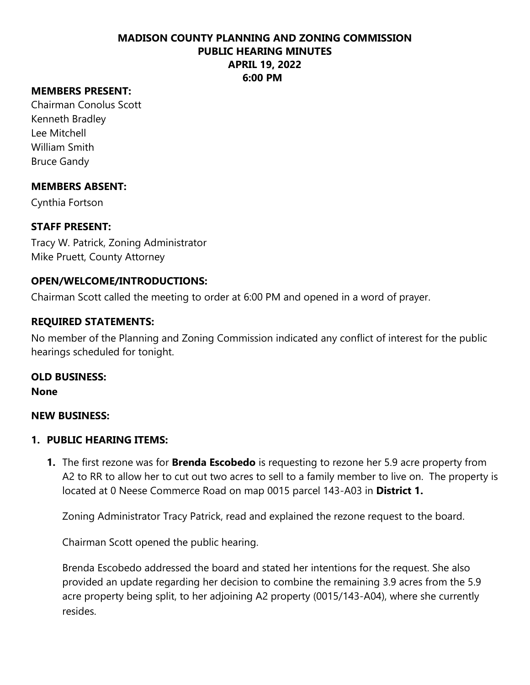## **MEMBERS PRESENT:**

Chairman Conolus Scott Kenneth Bradley Lee Mitchell William Smith Bruce Gandy

### **MEMBERS ABSENT:**

Cynthia Fortson

# **STAFF PRESENT:**

Tracy W. Patrick, Zoning Administrator Mike Pruett, County Attorney

# **OPEN/WELCOME/INTRODUCTIONS:**

Chairman Scott called the meeting to order at 6:00 PM and opened in a word of prayer.

# **REQUIRED STATEMENTS:**

No member of the Planning and Zoning Commission indicated any conflict of interest for the public hearings scheduled for tonight.

# **OLD BUSINESS:**

**None**

### **NEW BUSINESS:**

### **1. PUBLIC HEARING ITEMS:**

**1.** The first rezone was for **Brenda Escobedo** is requesting to rezone her 5.9 acre property from A2 to RR to allow her to cut out two acres to sell to a family member to live on. The property is located at 0 Neese Commerce Road on map 0015 parcel 143-A03 in **District 1.**

Zoning Administrator Tracy Patrick, read and explained the rezone request to the board.

Chairman Scott opened the public hearing.

Brenda Escobedo addressed the board and stated her intentions for the request. She also provided an update regarding her decision to combine the remaining 3.9 acres from the 5.9 acre property being split, to her adjoining A2 property (0015/143-A04), where she currently resides.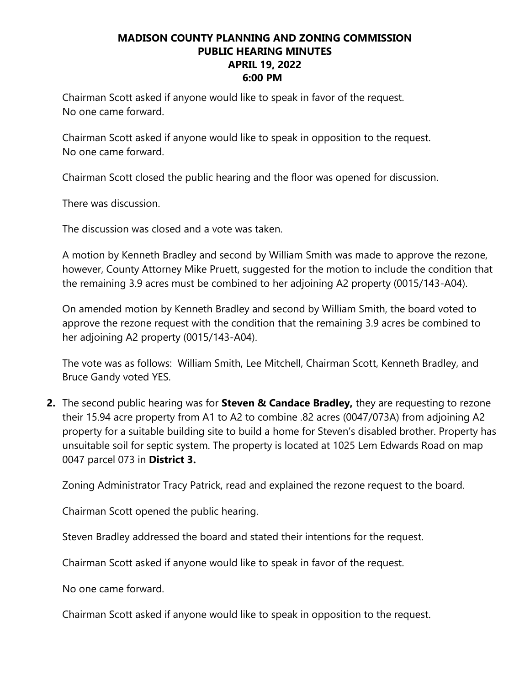Chairman Scott asked if anyone would like to speak in favor of the request. No one came forward.

Chairman Scott asked if anyone would like to speak in opposition to the request. No one came forward.

Chairman Scott closed the public hearing and the floor was opened for discussion.

There was discussion.

The discussion was closed and a vote was taken.

A motion by Kenneth Bradley and second by William Smith was made to approve the rezone, however, County Attorney Mike Pruett, suggested for the motion to include the condition that the remaining 3.9 acres must be combined to her adjoining A2 property (0015/143-A04).

On amended motion by Kenneth Bradley and second by William Smith, the board voted to approve the rezone request with the condition that the remaining 3.9 acres be combined to her adjoining A2 property (0015/143-A04).

The vote was as follows: William Smith, Lee Mitchell, Chairman Scott, Kenneth Bradley, and Bruce Gandy voted YES.

**2.** The second public hearing was for **Steven & Candace Bradley,** they are requesting to rezone their 15.94 acre property from A1 to A2 to combine .82 acres (0047/073A) from adjoining A2 property for a suitable building site to build a home for Steven's disabled brother. Property has unsuitable soil for septic system. The property is located at 1025 Lem Edwards Road on map 0047 parcel 073 in **District 3.**

Zoning Administrator Tracy Patrick, read and explained the rezone request to the board.

Chairman Scott opened the public hearing.

Steven Bradley addressed the board and stated their intentions for the request.

Chairman Scott asked if anyone would like to speak in favor of the request.

No one came forward.

Chairman Scott asked if anyone would like to speak in opposition to the request.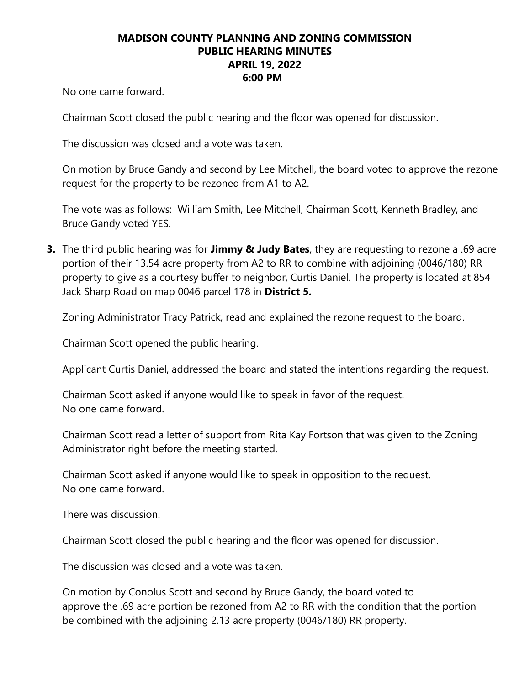No one came forward.

Chairman Scott closed the public hearing and the floor was opened for discussion.

The discussion was closed and a vote was taken.

On motion by Bruce Gandy and second by Lee Mitchell, the board voted to approve the rezone request for the property to be rezoned from A1 to A2.

The vote was as follows: William Smith, Lee Mitchell, Chairman Scott, Kenneth Bradley, and Bruce Gandy voted YES.

**3.** The third public hearing was for **Jimmy & Judy Bates**, they are requesting to rezone a .69 acre portion of their 13.54 acre property from A2 to RR to combine with adjoining (0046/180) RR property to give as a courtesy buffer to neighbor, Curtis Daniel. The property is located at 854 Jack Sharp Road on map 0046 parcel 178 in **District 5.**

Zoning Administrator Tracy Patrick, read and explained the rezone request to the board.

Chairman Scott opened the public hearing.

Applicant Curtis Daniel, addressed the board and stated the intentions regarding the request.

Chairman Scott asked if anyone would like to speak in favor of the request. No one came forward.

Chairman Scott read a letter of support from Rita Kay Fortson that was given to the Zoning Administrator right before the meeting started.

Chairman Scott asked if anyone would like to speak in opposition to the request. No one came forward.

There was discussion.

Chairman Scott closed the public hearing and the floor was opened for discussion.

The discussion was closed and a vote was taken.

On motion by Conolus Scott and second by Bruce Gandy, the board voted to approve the .69 acre portion be rezoned from A2 to RR with the condition that the portion be combined with the adjoining 2.13 acre property (0046/180) RR property.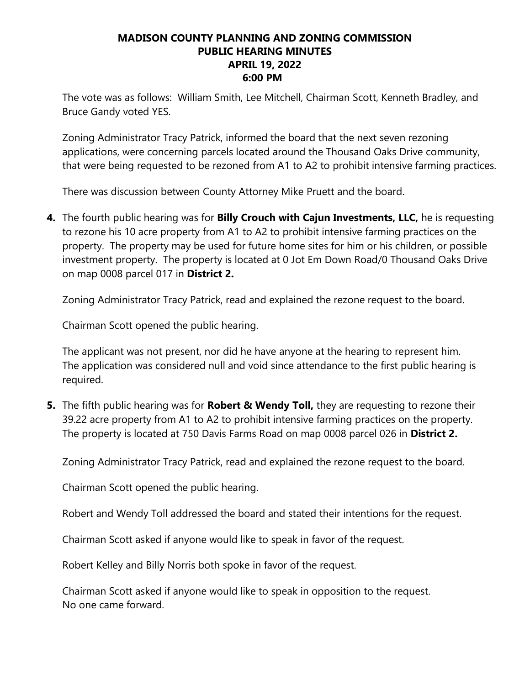The vote was as follows: William Smith, Lee Mitchell, Chairman Scott, Kenneth Bradley, and Bruce Gandy voted YES.

Zoning Administrator Tracy Patrick, informed the board that the next seven rezoning applications, were concerning parcels located around the Thousand Oaks Drive community, that were being requested to be rezoned from A1 to A2 to prohibit intensive farming practices.

There was discussion between County Attorney Mike Pruett and the board.

**4.** The fourth public hearing was for **Billy Crouch with Cajun Investments, LLC,** he is requesting to rezone his 10 acre property from A1 to A2 to prohibit intensive farming practices on the property. The property may be used for future home sites for him or his children, or possible investment property. The property is located at 0 Jot Em Down Road/0 Thousand Oaks Drive on map 0008 parcel 017 in **District 2.**

Zoning Administrator Tracy Patrick, read and explained the rezone request to the board.

Chairman Scott opened the public hearing.

The applicant was not present, nor did he have anyone at the hearing to represent him. The application was considered null and void since attendance to the first public hearing is required.

**5.** The fifth public hearing was for **Robert & Wendy Toll,** they are requesting to rezone their 39.22 acre property from A1 to A2 to prohibit intensive farming practices on the property. The property is located at 750 Davis Farms Road on map 0008 parcel 026 in **District 2.**

Zoning Administrator Tracy Patrick, read and explained the rezone request to the board.

Chairman Scott opened the public hearing.

Robert and Wendy Toll addressed the board and stated their intentions for the request.

Chairman Scott asked if anyone would like to speak in favor of the request.

Robert Kelley and Billy Norris both spoke in favor of the request.

Chairman Scott asked if anyone would like to speak in opposition to the request. No one came forward.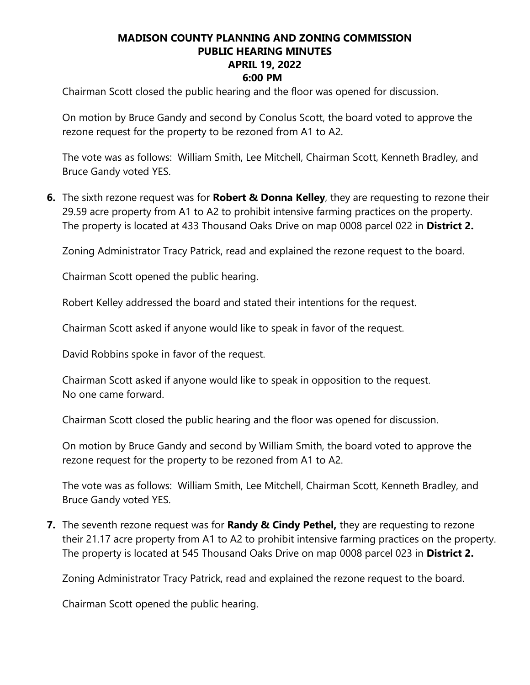Chairman Scott closed the public hearing and the floor was opened for discussion.

On motion by Bruce Gandy and second by Conolus Scott, the board voted to approve the rezone request for the property to be rezoned from A1 to A2.

The vote was as follows: William Smith, Lee Mitchell, Chairman Scott, Kenneth Bradley, and Bruce Gandy voted YES.

**6.** The sixth rezone request was for **Robert & Donna Kelley**, they are requesting to rezone their 29.59 acre property from A1 to A2 to prohibit intensive farming practices on the property. The property is located at 433 Thousand Oaks Drive on map 0008 parcel 022 in **District 2.**

Zoning Administrator Tracy Patrick, read and explained the rezone request to the board.

Chairman Scott opened the public hearing.

Robert Kelley addressed the board and stated their intentions for the request.

Chairman Scott asked if anyone would like to speak in favor of the request.

David Robbins spoke in favor of the request.

Chairman Scott asked if anyone would like to speak in opposition to the request. No one came forward.

Chairman Scott closed the public hearing and the floor was opened for discussion.

On motion by Bruce Gandy and second by William Smith, the board voted to approve the rezone request for the property to be rezoned from A1 to A2.

The vote was as follows: William Smith, Lee Mitchell, Chairman Scott, Kenneth Bradley, and Bruce Gandy voted YES.

**7.** The seventh rezone request was for **Randy & Cindy Pethel,** they are requesting to rezone their 21.17 acre property from A1 to A2 to prohibit intensive farming practices on the property. The property is located at 545 Thousand Oaks Drive on map 0008 parcel 023 in **District 2.**

Zoning Administrator Tracy Patrick, read and explained the rezone request to the board.

Chairman Scott opened the public hearing.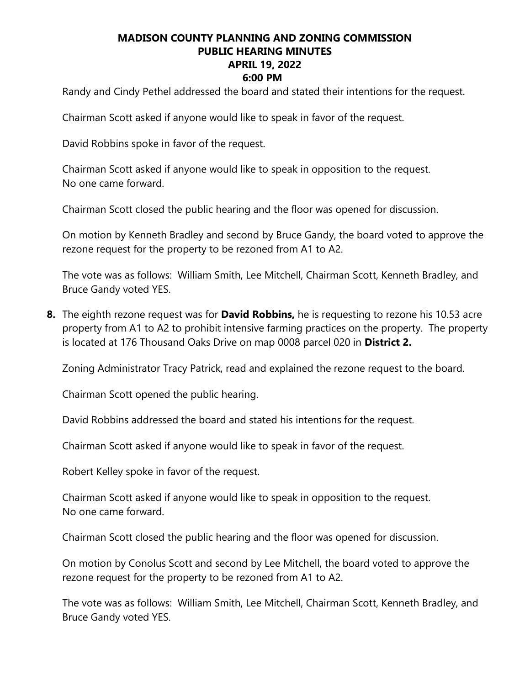Randy and Cindy Pethel addressed the board and stated their intentions for the request.

Chairman Scott asked if anyone would like to speak in favor of the request.

David Robbins spoke in favor of the request.

Chairman Scott asked if anyone would like to speak in opposition to the request. No one came forward.

Chairman Scott closed the public hearing and the floor was opened for discussion.

On motion by Kenneth Bradley and second by Bruce Gandy, the board voted to approve the rezone request for the property to be rezoned from A1 to A2.

The vote was as follows: William Smith, Lee Mitchell, Chairman Scott, Kenneth Bradley, and Bruce Gandy voted YES.

**8.** The eighth rezone request was for **David Robbins,** he is requesting to rezone his 10.53 acre property from A1 to A2 to prohibit intensive farming practices on the property. The property is located at 176 Thousand Oaks Drive on map 0008 parcel 020 in **District 2.**

Zoning Administrator Tracy Patrick, read and explained the rezone request to the board.

Chairman Scott opened the public hearing.

David Robbins addressed the board and stated his intentions for the request.

Chairman Scott asked if anyone would like to speak in favor of the request.

Robert Kelley spoke in favor of the request.

Chairman Scott asked if anyone would like to speak in opposition to the request. No one came forward.

Chairman Scott closed the public hearing and the floor was opened for discussion.

On motion by Conolus Scott and second by Lee Mitchell, the board voted to approve the rezone request for the property to be rezoned from A1 to A2.

The vote was as follows: William Smith, Lee Mitchell, Chairman Scott, Kenneth Bradley, and Bruce Gandy voted YES.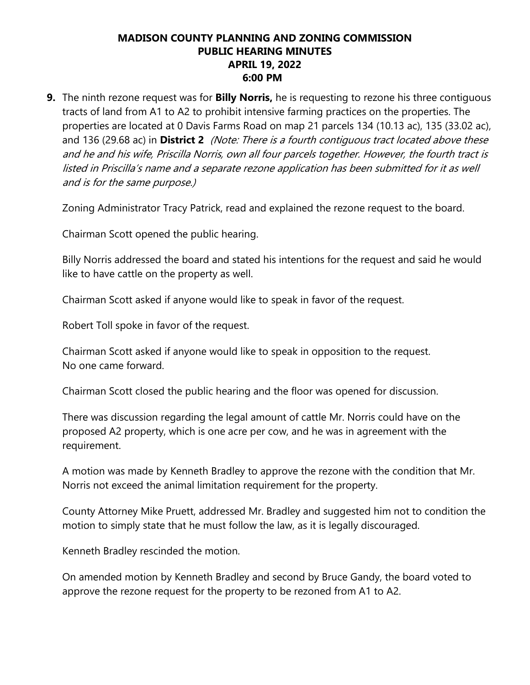**9.** The ninth rezone request was for **Billy Norris,** he is requesting to rezone his three contiguous tracts of land from A1 to A2 to prohibit intensive farming practices on the properties. The properties are located at 0 Davis Farms Road on map 21 parcels 134 (10.13 ac), 135 (33.02 ac), and 136 (29.68 ac) in **District 2** (Note: There is a fourth contiguous tract located above these and he and his wife, Priscilla Norris, own all four parcels together. However, the fourth tract is listed in Priscilla's name and a separate rezone application has been submitted for it as well and is for the same purpose.)

Zoning Administrator Tracy Patrick, read and explained the rezone request to the board.

Chairman Scott opened the public hearing.

Billy Norris addressed the board and stated his intentions for the request and said he would like to have cattle on the property as well.

Chairman Scott asked if anyone would like to speak in favor of the request.

Robert Toll spoke in favor of the request.

Chairman Scott asked if anyone would like to speak in opposition to the request. No one came forward.

Chairman Scott closed the public hearing and the floor was opened for discussion.

There was discussion regarding the legal amount of cattle Mr. Norris could have on the proposed A2 property, which is one acre per cow, and he was in agreement with the requirement.

A motion was made by Kenneth Bradley to approve the rezone with the condition that Mr. Norris not exceed the animal limitation requirement for the property.

County Attorney Mike Pruett, addressed Mr. Bradley and suggested him not to condition the motion to simply state that he must follow the law, as it is legally discouraged.

Kenneth Bradley rescinded the motion.

On amended motion by Kenneth Bradley and second by Bruce Gandy, the board voted to approve the rezone request for the property to be rezoned from A1 to A2.